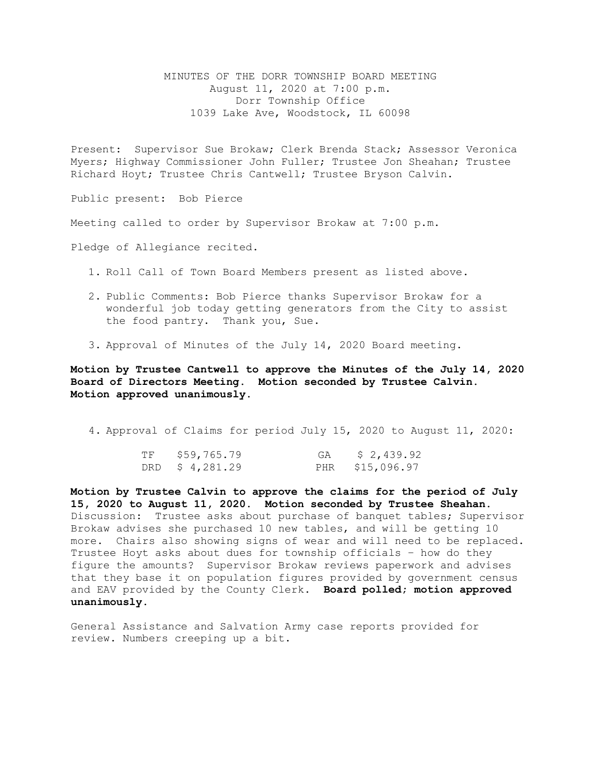MINUTES OF THE DORR TOWNSHIP BOARD MEETING August 11, 2020 at 7:00 p.m. Dorr Township Office 1039 Lake Ave, Woodstock, IL 60098

Present: Supervisor Sue Brokaw; Clerk Brenda Stack; Assessor Veronica Myers; Highway Commissioner John Fuller; Trustee Jon Sheahan; Trustee Richard Hoyt; Trustee Chris Cantwell; Trustee Bryson Calvin.

Public present: Bob Pierce

Meeting called to order by Supervisor Brokaw at 7:00 p.m.

Pledge of Allegiance recited.

- 1. Roll Call of Town Board Members present as listed above.
- 2. Public Comments: Bob Pierce thanks Supervisor Brokaw for a wonderful job today getting generators from the City to assist the food pantry. Thank you, Sue.
- 3. Approval of Minutes of the July 14, 2020 Board meeting.

**Motion by Trustee Cantwell to approve the Minutes of the July 14, 2020 Board of Directors Meeting. Motion seconded by Trustee Calvin. Motion approved unanimously.** 

4. Approval of Claims for period July 15, 2020 to August 11, 2020:

| TF \$59,765.79 | GA $$2,439.92$  |
|----------------|-----------------|
| DRD \$4,281.29 | PHR \$15,096.97 |

**Motion by Trustee Calvin to approve the claims for the period of July 15, 2020 to August 11, 2020. Motion seconded by Trustee Sheahan.**  Discussion: Trustee asks about purchase of banquet tables; Supervisor Brokaw advises she purchased 10 new tables, and will be getting 10 more. Chairs also showing signs of wear and will need to be replaced. Trustee Hoyt asks about dues for township officials – how do they figure the amounts? Supervisor Brokaw reviews paperwork and advises that they base it on population figures provided by government census and EAV provided by the County Clerk. **Board polled; motion approved unanimously.**

General Assistance and Salvation Army case reports provided for review. Numbers creeping up a bit.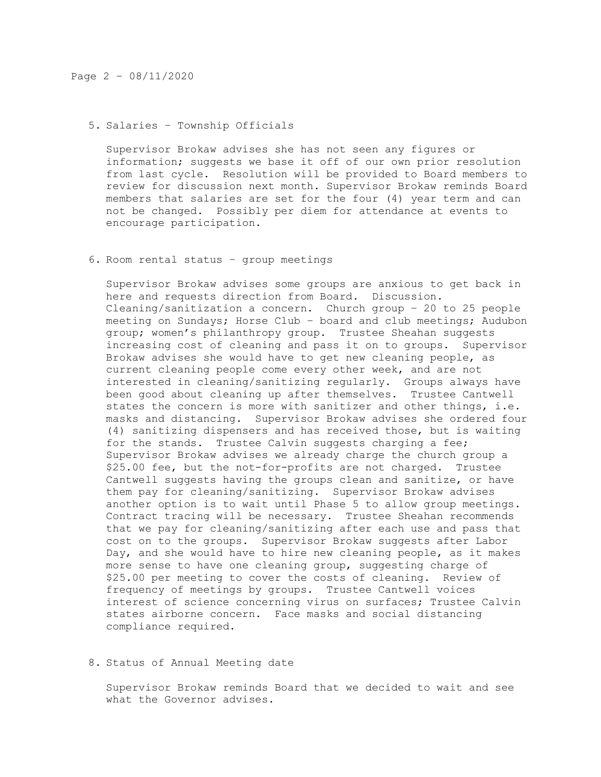## 5. Salaries – Township Officials

Supervisor Brokaw advises she has not seen any figures or information; suggests we base it off of our own prior resolution from last cycle. Resolution will be provided to Board members to review for discussion next month. Supervisor Brokaw reminds Board members that salaries are set for the four (4) year term and can not be changed. Possibly per diem for attendance at events to encourage participation.

# 6. Room rental status – group meetings

Supervisor Brokaw advises some groups are anxious to get back in here and requests direction from Board. Discussion. Cleaning/sanitization a concern. Church group – 20 to 25 people meeting on Sundays; Horse Club - board and club meetings; Audubon group; women's philanthropy group. Trustee Sheahan suggests increasing cost of cleaning and pass it on to groups. Supervisor Brokaw advises she would have to get new cleaning people, as current cleaning people come every other week, and are not interested in cleaning/sanitizing regularly. Groups always have been good about cleaning up after themselves. Trustee Cantwell states the concern is more with sanitizer and other things, i.e. masks and distancing. Supervisor Brokaw advises she ordered four (4) sanitizing dispensers and has received those, but is waiting for the stands. Trustee Calvin suggests charging a fee; Supervisor Brokaw advises we already charge the church group a \$25.00 fee, but the not-for-profits are not charged. Trustee Cantwell suggests having the groups clean and sanitize, or have them pay for cleaning/sanitizing. Supervisor Brokaw advises another option is to wait until Phase 5 to allow group meetings. Contract tracing will be necessary. Trustee Sheahan recommends that we pay for cleaning/sanitizing after each use and pass that cost on to the groups. Supervisor Brokaw suggests after Labor Day, and she would have to hire new cleaning people, as it makes more sense to have one cleaning group, suggesting charge of \$25.00 per meeting to cover the costs of cleaning. Review of frequency of meetings by groups. Trustee Cantwell voices interest of science concerning virus on surfaces; Trustee Calvin states airborne concern. Face masks and social distancing compliance required.

# 8. Status of Annual Meeting date

Supervisor Brokaw reminds Board that we decided to wait and see what the Governor advises.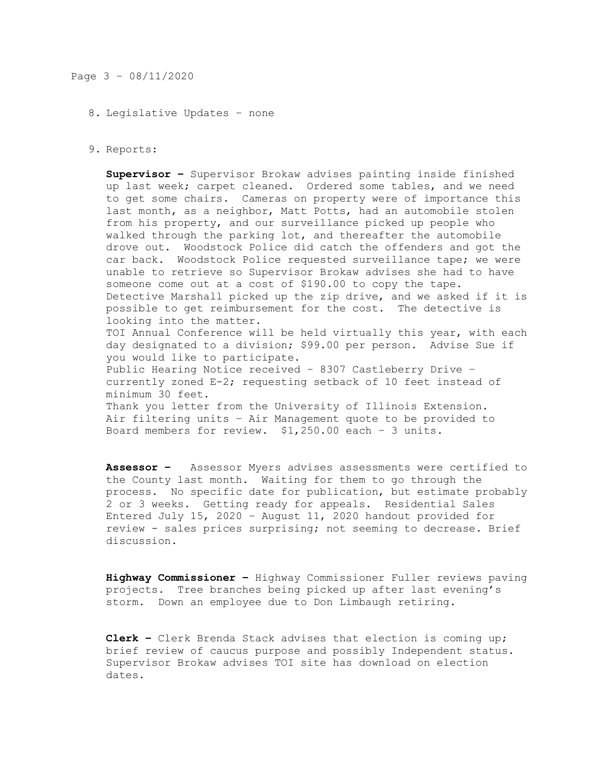#### 8. Legislative Updates – none

#### 9. Reports:

**Supervisor –** Supervisor Brokaw advises painting inside finished up last week; carpet cleaned. Ordered some tables, and we need to get some chairs. Cameras on property were of importance this last month, as a neighbor, Matt Potts, had an automobile stolen from his property, and our surveillance picked up people who walked through the parking lot, and thereafter the automobile drove out. Woodstock Police did catch the offenders and got the car back. Woodstock Police requested surveillance tape; we were unable to retrieve so Supervisor Brokaw advises she had to have someone come out at a cost of \$190.00 to copy the tape. Detective Marshall picked up the zip drive, and we asked if it is possible to get reimbursement for the cost. The detective is looking into the matter. TOI Annual Conference will be held virtually this year, with each day designated to a division; \$99.00 per person. Advise Sue if you would like to participate. Public Hearing Notice received – 8307 Castleberry Drive – currently zoned E-2; requesting setback of 10 feet instead of minimum 30 feet. Thank you letter from the University of Illinois Extension. Air filtering units – Air Management quote to be provided to Board members for review. \$1,250.00 each – 3 units.

**Assessor –** Assessor Myers advises assessments were certified to the County last month. Waiting for them to go through the process. No specific date for publication, but estimate probably 2 or 3 weeks. Getting ready for appeals. Residential Sales Entered July 15, 2020 – August 11, 2020 handout provided for review - sales prices surprising; not seeming to decrease. Brief discussion.

**Highway Commissioner –** Highway Commissioner Fuller reviews paving projects. Tree branches being picked up after last evening's storm. Down an employee due to Don Limbaugh retiring.

**Clerk –** Clerk Brenda Stack advises that election is coming up; brief review of caucus purpose and possibly Independent status. Supervisor Brokaw advises TOI site has download on election dates.